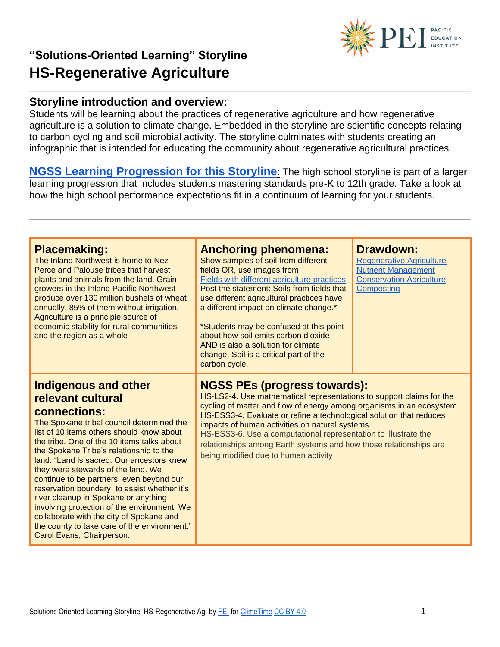#### **Storyline introduction and overview:**

Students will be learning about the practices of regenerative agriculture and how regenerative agriculture is a solution to climate change. Embedded in the storyline are scientific concepts relating to carbon cycling and soil microbial activity. The storyline culminates with students creating an infographic that is intended for educating the community about regenerative agricultural practices.

**[NGSS Learning Progression for this Storyline](https://pacificeductioninstitute.sharepoint.com/:x:/s/Program/EQ6jx72eybpMoG6LAwvMxSIBOk8hoF2Tlk827quJB_Kg0g?e=KJ1vC9)**: The high school storyline is part of a larger learning progression that includes students mastering standards pre-K to 12th grade. Take a look at how the high school performance expectations fit in a continuum of learning for your students.

| <b>Placemaking:</b><br>The Inland Northwest is home to Nez<br>Perce and Palouse tribes that harvest<br>plants and animals from the land. Grain<br>growers in the Inland Pacific Northwest<br>produce over 130 million bushels of wheat<br>annually, 85% of them without irrigation.<br>Agriculture is a principle source of<br>economic stability for rural communities<br>and the region as a whole                                                                                                                                                                                                                                               | <b>Anchoring phenomena:</b><br>Show samples of soil from different<br>fields OR, use images from<br>Fields with different agriculture practices.<br>Post the statement: Soils from fields that<br>use different agricultural practices have<br>a different impact on climate change.*<br>*Students may be confused at this point<br>about how soil emits carbon dioxide<br>AND is also a solution for climate<br>change. Soil is a critical part of the<br>carbon cycle. | <b>Drawdown:</b><br><b>Regenerative Agriculture</b><br><b>Nutrient Management</b><br><b>Conservation Agriculture</b><br>Composting                                                                                                                                                                                                                           |  |
|----------------------------------------------------------------------------------------------------------------------------------------------------------------------------------------------------------------------------------------------------------------------------------------------------------------------------------------------------------------------------------------------------------------------------------------------------------------------------------------------------------------------------------------------------------------------------------------------------------------------------------------------------|--------------------------------------------------------------------------------------------------------------------------------------------------------------------------------------------------------------------------------------------------------------------------------------------------------------------------------------------------------------------------------------------------------------------------------------------------------------------------|--------------------------------------------------------------------------------------------------------------------------------------------------------------------------------------------------------------------------------------------------------------------------------------------------------------------------------------------------------------|--|
| <b>Indigenous and other</b><br>relevant cultural<br>connections:<br>The Spokane tribal council determined the<br>list of 10 items others should know about<br>the tribe. One of the 10 items talks about<br>the Spokane Tribe's relationship to the<br>land. "Land is sacred. Our ancestors knew<br>they were stewards of the land. We<br>continue to be partners, even beyond our<br>reservation boundary, to assist whether it's<br>river cleanup in Spokane or anything<br>involving protection of the environment. We<br>collaborate with the city of Spokane and<br>the county to take care of the environment."<br>Carol Evans, Chairperson. | <b>NGSS PEs (progress towards):</b><br>impacts of human activities on natural systems.<br>being modified due to human activity                                                                                                                                                                                                                                                                                                                                           | HS-LS2-4. Use mathematical representations to support claims for the<br>cycling of matter and flow of energy among organisms in an ecosystem.<br>HS-ESS3-4. Evaluate or refine a technological solution that reduces<br>HS-ESS3-6. Use a computational representation to illustrate the<br>relationships among Earth systems and how those relationships are |  |

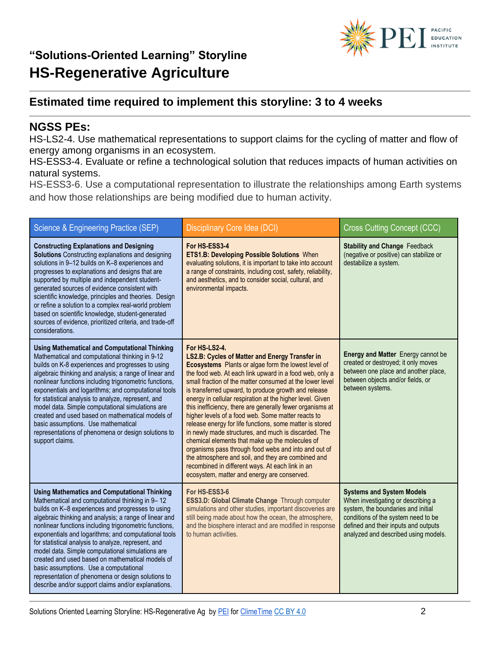

#### **Estimated time required to implement this storyline: 3 to 4 weeks**

#### **NGSS PEs:**

HS-LS2-4. Use mathematical representations to support claims for the cycling of matter and flow of energy among organisms in an ecosystem.

HS-ESS3-4. Evaluate or refine a technological solution that reduces impacts of human activities on natural systems.

HS-ESS3-6. Use a computational representation to illustrate the relationships among Earth systems and how those relationships are being modified due to human activity.

| Science & Engineering Practice (SEP)                                                                                                                                                                                                                                                                                                                                                                                                                                                                                                                                                                                                                          | <b>Disciplinary Core Idea (DCI)</b>                                                                                                                                                                                                                                                                                                                                                                                                                                                                                                                                                                                                                                                                                                                                                                                                                                           | <b>Cross Cutting Concept (CCC)</b>                                                                                                                                                                                                  |
|---------------------------------------------------------------------------------------------------------------------------------------------------------------------------------------------------------------------------------------------------------------------------------------------------------------------------------------------------------------------------------------------------------------------------------------------------------------------------------------------------------------------------------------------------------------------------------------------------------------------------------------------------------------|-------------------------------------------------------------------------------------------------------------------------------------------------------------------------------------------------------------------------------------------------------------------------------------------------------------------------------------------------------------------------------------------------------------------------------------------------------------------------------------------------------------------------------------------------------------------------------------------------------------------------------------------------------------------------------------------------------------------------------------------------------------------------------------------------------------------------------------------------------------------------------|-------------------------------------------------------------------------------------------------------------------------------------------------------------------------------------------------------------------------------------|
| <b>Constructing Explanations and Designing</b><br><b>Solutions</b> Constructing explanations and designing<br>solutions in 9-12 builds on K-8 experiences and<br>progresses to explanations and designs that are<br>supported by multiple and independent student-<br>generated sources of evidence consistent with<br>scientific knowledge, principles and theories. Design<br>or refine a solution to a complex real-world problem<br>based on scientific knowledge, student-generated<br>sources of evidence, prioritized criteria, and trade-off<br>considerations.                                                                                       | For HS-ESS3-4<br>ETS1.B: Developing Possible Solutions When<br>evaluating solutions, it is important to take into account<br>a range of constraints, including cost, safety, reliability,<br>and aesthetics, and to consider social, cultural, and<br>environmental impacts.                                                                                                                                                                                                                                                                                                                                                                                                                                                                                                                                                                                                  | <b>Stability and Change Feedback</b><br>(negative or positive) can stabilize or<br>destabilize a system.                                                                                                                            |
| <b>Using Mathematical and Computational Thinking</b><br>Mathematical and computational thinking in 9-12<br>builds on K-8 experiences and progresses to using<br>algebraic thinking and analysis; a range of linear and<br>nonlinear functions including trigonometric functions,<br>exponentials and logarithms; and computational tools<br>for statistical analysis to analyze, represent, and<br>model data. Simple computational simulations are<br>created and used based on mathematical models of<br>basic assumptions. Use mathematical<br>representations of phenomena or design solutions to<br>support claims.                                      | For HS-LS2-4.<br>LS2.B: Cycles of Matter and Energy Transfer in<br>Ecosystems Plants or algae form the lowest level of<br>the food web. At each link upward in a food web, only a<br>small fraction of the matter consumed at the lower level<br>is transferred upward, to produce growth and release<br>energy in cellular respiration at the higher level. Given<br>this inefficiency, there are generally fewer organisms at<br>higher levels of a food web. Some matter reacts to<br>release energy for life functions, some matter is stored<br>in newly made structures, and much is discarded. The<br>chemical elements that make up the molecules of<br>organisms pass through food webs and into and out of<br>the atmosphere and soil, and they are combined and<br>recombined in different ways. At each link in an<br>ecosystem, matter and energy are conserved. | <b>Energy and Matter Energy cannot be</b><br>created or destroyed; it only moves<br>between one place and another place,<br>between objects and/or fields, or<br>between systems.                                                   |
| <b>Using Mathematics and Computational Thinking</b><br>Mathematical and computational thinking in 9-12<br>builds on K-8 experiences and progresses to using<br>algebraic thinking and analysis; a range of linear and<br>nonlinear functions including trigonometric functions,<br>exponentials and logarithms; and computational tools<br>for statistical analysis to analyze, represent, and<br>model data. Simple computational simulations are<br>created and used based on mathematical models of<br>basic assumptions. Use a computational<br>representation of phenomena or design solutions to<br>describe and/or support claims and/or explanations. | For HS-ESS3-6<br>ESS3.D: Global Climate Change Through computer<br>simulations and other studies, important discoveries are<br>still being made about how the ocean, the atmosphere,<br>and the biosphere interact and are modified in response<br>to human activities.                                                                                                                                                                                                                                                                                                                                                                                                                                                                                                                                                                                                       | <b>Systems and System Models</b><br>When investigating or describing a<br>system, the boundaries and initial<br>conditions of the system need to be<br>defined and their inputs and outputs<br>analyzed and described using models. |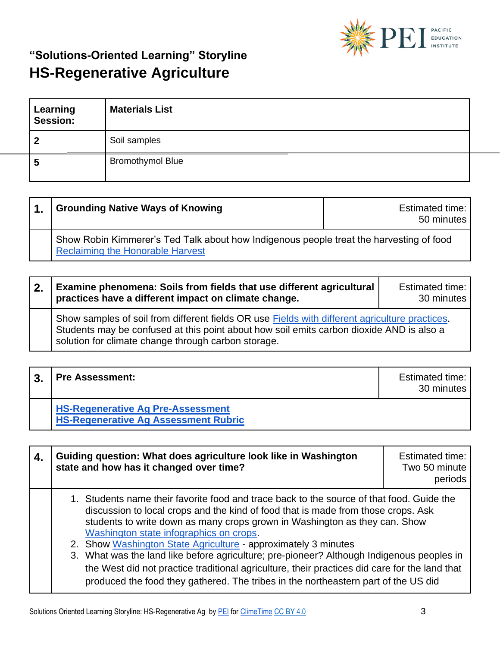

| Learning<br>Session: | <b>Materials List</b>   |  |
|----------------------|-------------------------|--|
| - 7                  | Soil samples            |  |
| C                    | <b>Bromothymol Blue</b> |  |

| <b>Grounding Native Ways of Knowing</b>                                                                                            | Estimated time:<br>50 minutes |
|------------------------------------------------------------------------------------------------------------------------------------|-------------------------------|
| Show Robin Kimmerer's Ted Talk about how Indigenous people treat the harvesting of food<br><b>Reclaiming the Honorable Harvest</b> |                               |

| practices have a different impact on climate change. |  | <b>Examine phenomena: Soils from fields that use different agricultural</b> | <b>Estimated time:</b><br>30 minutes |
|------------------------------------------------------|--|-----------------------------------------------------------------------------|--------------------------------------|
|------------------------------------------------------|--|-----------------------------------------------------------------------------|--------------------------------------|

Show samples of soil from different fields OR use **Fields with different agriculture practices**. Students may be confused at this point about how soil emits carbon dioxide AND is also a solution for climate change through carbon storage.

| 3 <sub>1</sub> | <b>Pre Assessment:</b>                                                                  | Estimated time:<br>30 minutes |
|----------------|-----------------------------------------------------------------------------------------|-------------------------------|
|                | <b>HS-Regenerative Ag Pre-Assessment</b><br><b>HS-Regenerative Ag Assessment Rubric</b> |                               |

| 4. | Guiding question: What does agriculture look like in Washington<br>state and how has it changed over time?                                                                                                                                                                                                                                                                                                                                                                                                                                                                                                                                                    | <b>Estimated time:</b><br>Two 50 minute<br>periods |
|----|---------------------------------------------------------------------------------------------------------------------------------------------------------------------------------------------------------------------------------------------------------------------------------------------------------------------------------------------------------------------------------------------------------------------------------------------------------------------------------------------------------------------------------------------------------------------------------------------------------------------------------------------------------------|----------------------------------------------------|
|    | 1. Students name their favorite food and trace back to the source of that food. Guide the<br>discussion to local crops and the kind of food that is made from those crops. Ask<br>students to write down as many crops grown in Washington as they can. Show<br>Washington state infographics on crops.<br>2. Show Washington State Agriculture - approximately 3 minutes<br>3. What was the land like before agriculture; pre-pioneer? Although Indigenous peoples in<br>the West did not practice traditional agriculture, their practices did care for the land that<br>produced the food they gathered. The tribes in the northeastern part of the US did |                                                    |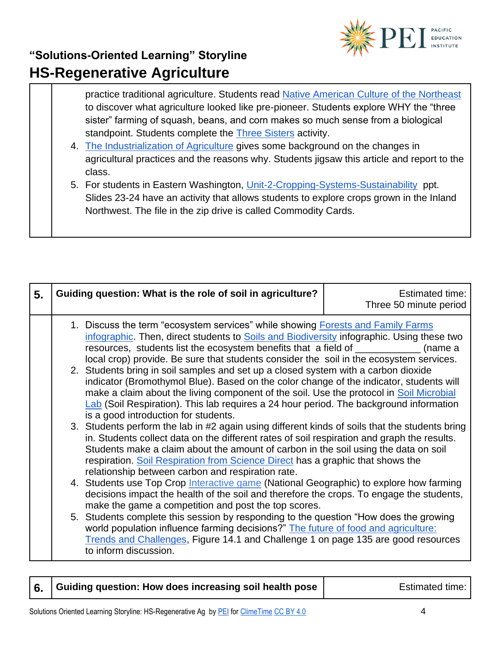

practice traditional agriculture. Students read Native American [Culture of the Northeast](https://www.khanacademy.org/humanities/us-history/precontact-and-early-colonial-era/before-contact/a/northeast-indian-culture) to discover what agriculture looked like pre-pioneer. Students explore WHY the "three sister" farming of squash, beans, and corn makes so much sense from a biological standpoint. Students complete the **Three Sisters** activity.

- 4. [The Industrialization of Agriculture](http://www.foodspanlearning.org/_pdf/lesson-plan/unit1/lessonb-industrialization-lessonplan.pdf) gives some background on the changes in agricultural practices and the reasons why. Students jigsaw this article and report to the class.
- 5. For students in Eastern Washington, [Unit-2-Cropping-Systems-Sustainability](https://www.reacchpna.org/education/unit-2-cropping-systems-sustainability) ppt. Slides 23-24 have an activity that allows students to explore crops grown in the Inland Northwest. The file in the zip drive is called Commodity Cards.

| 5. | Guiding question: What is the role of soil in agriculture?<br><b>Estimated time:</b><br>Three 50 minute period                                                                                                                                                                                                                                                                                                                                                                                                                                                                                                                                                                                                                                                                                                                                                                                                                                                                                                                                                                                                                                                                                                                                                                                                                                                                                                                                                                                                                                                                                                                                                                                                                                           |  |
|----|----------------------------------------------------------------------------------------------------------------------------------------------------------------------------------------------------------------------------------------------------------------------------------------------------------------------------------------------------------------------------------------------------------------------------------------------------------------------------------------------------------------------------------------------------------------------------------------------------------------------------------------------------------------------------------------------------------------------------------------------------------------------------------------------------------------------------------------------------------------------------------------------------------------------------------------------------------------------------------------------------------------------------------------------------------------------------------------------------------------------------------------------------------------------------------------------------------------------------------------------------------------------------------------------------------------------------------------------------------------------------------------------------------------------------------------------------------------------------------------------------------------------------------------------------------------------------------------------------------------------------------------------------------------------------------------------------------------------------------------------------------|--|
|    | 1. Discuss the term "ecosystem services" while showing Forests and Family Farms<br>infographic. Then, direct students to Soils and Biodiversity infographic. Using these two<br>resources, students list the ecosystem benefits that a field of __________<br>(name a<br>local crop) provide. Be sure that students consider the soil in the ecosystem services.<br>2. Students bring in soil samples and set up a closed system with a carbon dioxide<br>indicator (Bromothymol Blue). Based on the color change of the indicator, students will<br>make a claim about the living component of the soil. Use the protocol in Soil Microbial<br>Lab (Soil Respiration). This lab requires a 24 hour period. The background information<br>is a good introduction for students.<br>3. Students perform the lab in #2 again using different kinds of soils that the students bring<br>in. Students collect data on the different rates of soil respiration and graph the results.<br>Students make a claim about the amount of carbon in the soil using the data on soil<br>respiration. Soil Respiration from Science Direct has a graphic that shows the<br>relationship between carbon and respiration rate.<br>4. Students use Top Crop Interactive game (National Geographic) to explore how farming<br>decisions impact the health of the soil and therefore the crops. To engage the students,<br>make the game a competition and post the top scores.<br>5. Students complete this session by responding to the question "How does the growing<br>world population influence farming decisions?" The future of food and agriculture:<br>Trends and Challenges, Figure 14.1 and Challenge 1 on page 135 are good resources<br>to inform discussion. |  |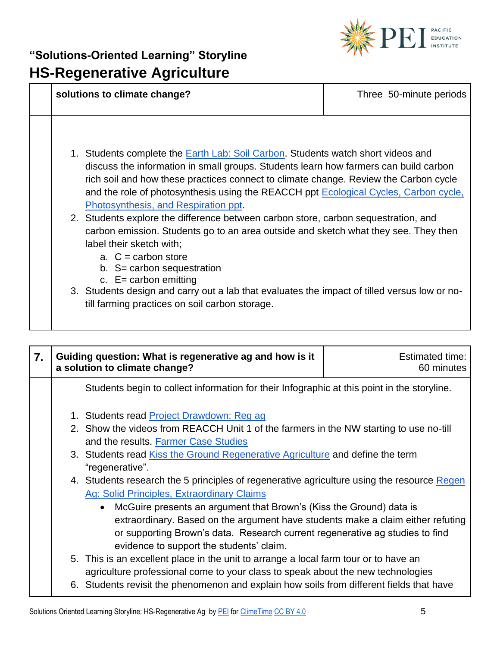

| solutions to climate change?                                                                                                                                                                                                                                                                                                                                                                                                                                                                                                                                                                                                                                                                                                                                                                                                                           | Three 50-minute periods |
|--------------------------------------------------------------------------------------------------------------------------------------------------------------------------------------------------------------------------------------------------------------------------------------------------------------------------------------------------------------------------------------------------------------------------------------------------------------------------------------------------------------------------------------------------------------------------------------------------------------------------------------------------------------------------------------------------------------------------------------------------------------------------------------------------------------------------------------------------------|-------------------------|
| 1. Students complete the <b>Earth Lab: Soil Carbon</b> . Students watch short videos and<br>discuss the information in small groups. Students learn how farmers can build carbon<br>rich soil and how these practices connect to climate change. Review the Carbon cycle<br>and the role of photosynthesis using the REACCH ppt Ecological Cycles, Carbon cycle,<br>Photosynthesis, and Respiration ppt.<br>2. Students explore the difference between carbon store, carbon sequestration, and<br>carbon emission. Students go to an area outside and sketch what they see. They then<br>label their sketch with;<br>a. $C =$ carbon store<br>b. S= carbon sequestration<br>c. $E =$ carbon emitting<br>3. Students design and carry out a lab that evaluates the impact of tilled versus low or no-<br>till farming practices on soil carbon storage. |                         |

| $\overline{7}$ . |                                                                                                                                                                                                                                                                                    | Guiding question: What is regenerative ag and how is it<br>a solution to climate change?                                                                                | <b>Estimated time:</b><br>60 minutes |
|------------------|------------------------------------------------------------------------------------------------------------------------------------------------------------------------------------------------------------------------------------------------------------------------------------|-------------------------------------------------------------------------------------------------------------------------------------------------------------------------|--------------------------------------|
|                  |                                                                                                                                                                                                                                                                                    | Students begin to collect information for their Infographic at this point in the storyline.                                                                             |                                      |
|                  |                                                                                                                                                                                                                                                                                    | 1. Students read Project Drawdown: Reg ag                                                                                                                               |                                      |
|                  | 2. Show the videos from REACCH Unit 1 of the farmers in the NW starting to use no-till<br>and the results. Farmer Case Studies                                                                                                                                                     |                                                                                                                                                                         |                                      |
|                  | 3. Students read Kiss the Ground Regenerative Agriculture and define the term<br>"regenerative".                                                                                                                                                                                   |                                                                                                                                                                         |                                      |
|                  | 4. Students research the 5 principles of regenerative agriculture using the resource Regen<br><b>Ag: Solid Principles, Extraordinary Claims</b>                                                                                                                                    |                                                                                                                                                                         |                                      |
|                  | McGuire presents an argument that Brown's (Kiss the Ground) data is<br>extraordinary. Based on the argument have students make a claim either refuting<br>or supporting Brown's data. Research current regenerative ag studies to find<br>evidence to support the students' claim. |                                                                                                                                                                         |                                      |
|                  |                                                                                                                                                                                                                                                                                    | 5. This is an excellent place in the unit to arrange a local farm tour or to have an<br>agriculture professional come to your class to speak about the new technologies |                                      |
|                  |                                                                                                                                                                                                                                                                                    | 6. Students revisit the phenomenon and explain how soils from different fields that have                                                                                |                                      |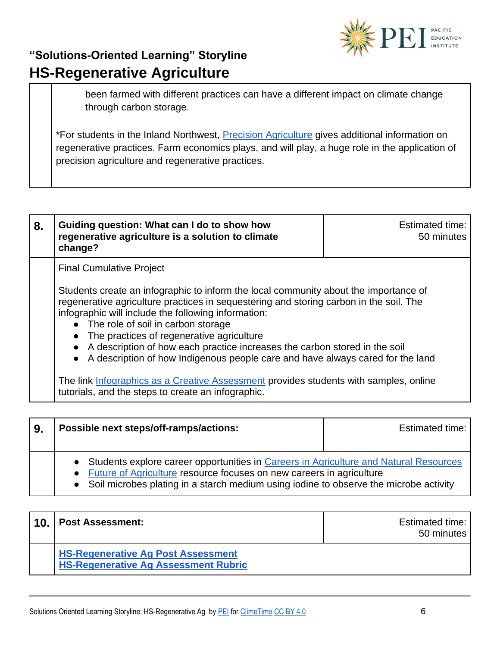

been farmed with different practices can have a different impact on climate change through carbon storage.

\*For students in the Inland Northwest, [Precision Agriculture](https://www.reacchpna.org/education/unit-8-precision-agriculture) gives additional information on regenerative practices. Farm economics plays, and will play, a huge role in the application of precision agriculture and regenerative practices.

| 8. | Guiding question: What can I do to show how<br>regenerative agriculture is a solution to climate<br>change?                                                                                                                                                                                                                                                                                                                                                                                                          | <b>Estimated time:</b><br>50 minutes |
|----|----------------------------------------------------------------------------------------------------------------------------------------------------------------------------------------------------------------------------------------------------------------------------------------------------------------------------------------------------------------------------------------------------------------------------------------------------------------------------------------------------------------------|--------------------------------------|
|    | <b>Final Cumulative Project</b>                                                                                                                                                                                                                                                                                                                                                                                                                                                                                      |                                      |
|    | Students create an infographic to inform the local community about the importance of<br>regenerative agriculture practices in sequestering and storing carbon in the soil. The<br>infographic will include the following information:<br>• The role of soil in carbon storage<br>The practices of regenerative agriculture<br>A description of how each practice increases the carbon stored in the soil<br>$\bullet$<br>A description of how Indigenous people care and have always cared for the land<br>$\bullet$ |                                      |
|    | The link Infographics as a Creative Assessment provides students with samples, online<br>tutorials, and the steps to create an infographic.                                                                                                                                                                                                                                                                                                                                                                          |                                      |

| <b>9.</b> | Possible next steps/off-ramps/actions:                                                                                                                                                                                                                       | Estimated time: |
|-----------|--------------------------------------------------------------------------------------------------------------------------------------------------------------------------------------------------------------------------------------------------------------|-----------------|
|           | • Students explore career opportunities in Careers in Agriculture and Natural Resources<br>• Future of Agriculture resource focuses on new careers in agriculture<br>• Soil microbes plating in a starch medium using iodine to observe the microbe activity |                 |

| 10. | <b>Post Assessment:</b>                                                                  | <b>Estimated time:</b><br>50 minutes |
|-----|------------------------------------------------------------------------------------------|--------------------------------------|
|     | <b>HS-Regenerative Ag Post Assessment</b><br><b>HS-Regenerative Ag Assessment Rubric</b> |                                      |